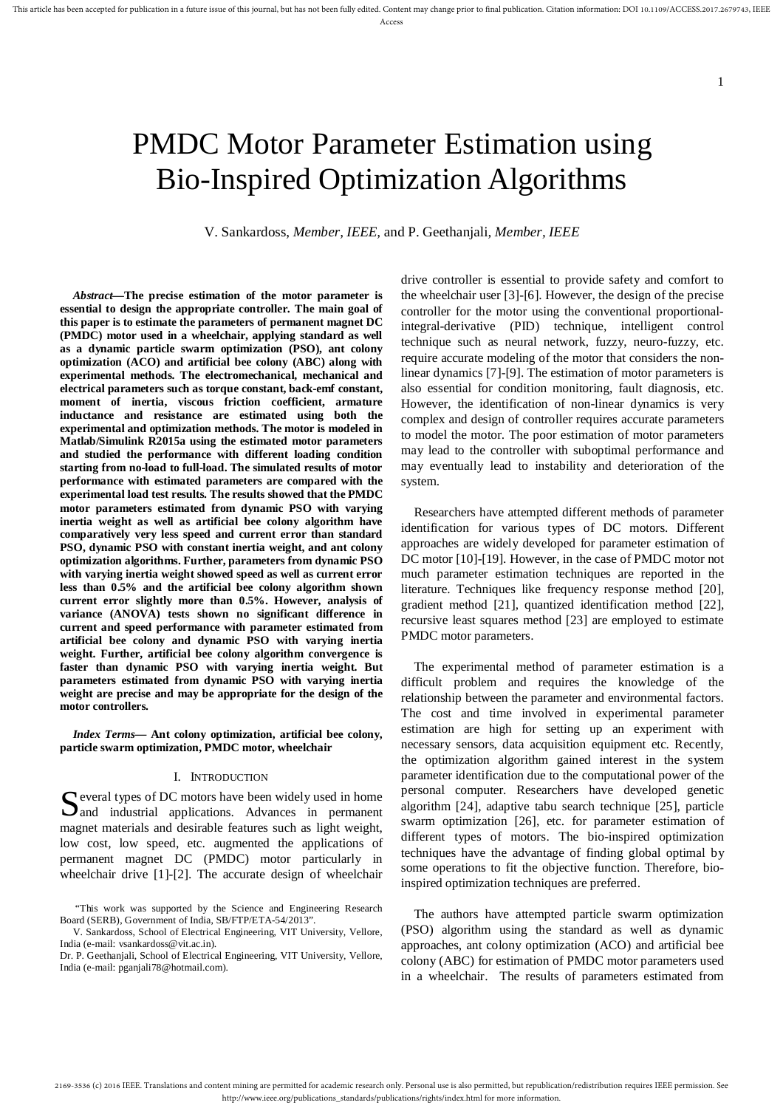# PMDC Motor Parameter Estimation using Bio-Inspired Optimization Algorithms

V. Sankardoss, *Member, IEEE,* and P. Geethanjali*, Member, IEEE*

*Abstract***—The precise estimation of the motor parameter is essential to design the appropriate controller. The main goal of this paper is to estimate the parameters of permanent magnet DC (PMDC) motor used in a wheelchair, applying standard as well as a dynamic particle swarm optimization (PSO), ant colony optimization (ACO) and artificial bee colony (ABC) along with experimental methods. The electromechanical, mechanical and electrical parameters such as torque constant, back-emf constant, moment of inertia, viscous friction coefficient, armature inductance and resistance are estimated using both the experimental and optimization methods. The motor is modeled in Matlab/Simulink R2015a using the estimated motor parameters and studied the performance with different loading condition starting from no-load to full-load. The simulated results of motor performance with estimated parameters are compared with the experimental load test results. The results showed that the PMDC motor parameters estimated from dynamic PSO with varying inertia weight as well as artificial bee colony algorithm have comparatively very less speed and current error than standard PSO, dynamic PSO with constant inertia weight, and ant colony optimization algorithms. Further, parameters from dynamic PSO with varying inertia weight showed speed as well as current error less than 0.5% and the artificial bee colony algorithm shown current error slightly more than 0.5%. However, analysis of variance (ANOVA) tests shown no significant difference in current and speed performance with parameter estimated from artificial bee colony and dynamic PSO with varying inertia weight. Further, artificial bee colony algorithm convergence is faster than dynamic PSO with varying inertia weight. But parameters estimated from dynamic PSO with varying inertia weight are precise and may be appropriate for the design of the motor controllers.** 

*Index Terms***— Ant colony optimization, artificial bee colony, particle swarm optimization, PMDC motor, wheelchair**

#### I. INTRODUCTION

 $\Gamma$  everal types of DC motors have been widely used in home Several types of DC motors have been widely used in home<br>and industrial applications. Advances in permanent magnet materials and desirable features such as light weight, low cost, low speed, etc. augmented the applications of permanent magnet DC (PMDC) motor particularly in wheelchair drive [1]-[2]. The accurate design of wheelchair

"This work was supported by the Science and Engineering Research Board (SERB), Government of India, SB/FTP/ETA-54/2013".

drive controller is essential to provide safety and comfort to the wheelchair user [3]-[6]. However, the design of the precise controller for the motor using the conventional proportionalintegral-derivative (PID) technique, intelligent control technique such as neural network, fuzzy, neuro-fuzzy, etc. require accurate modeling of the motor that considers the nonlinear dynamics [7]-[9]. The estimation of motor parameters is also essential for condition monitoring, fault diagnosis, etc. However, the identification of non-linear dynamics is very complex and design of controller requires accurate parameters to model the motor. The poor estimation of motor parameters may lead to the controller with suboptimal performance and may eventually lead to instability and deterioration of the system.

1

Researchers have attempted different methods of parameter identification for various types of DC motors. Different approaches are widely developed for parameter estimation of DC motor [10]-[19]. However, in the case of PMDC motor not much parameter estimation techniques are reported in the literature. Techniques like frequency response method [20], gradient method [21], quantized identification method [22], recursive least squares method [23] are employed to estimate PMDC motor parameters.

The experimental method of parameter estimation is a difficult problem and requires the knowledge of the relationship between the parameter and environmental factors. The cost and time involved in experimental parameter estimation are high for setting up an experiment with necessary sensors, data acquisition equipment etc. Recently, the optimization algorithm gained interest in the system parameter identification due to the computational power of the personal computer. Researchers have developed genetic algorithm [24], adaptive tabu search technique [25], particle swarm optimization [26], etc. for parameter estimation of different types of motors. The bio-inspired optimization techniques have the advantage of finding global optimal by some operations to fit the objective function. Therefore, bioinspired optimization techniques are preferred.

The authors have attempted particle swarm optimization (PSO) algorithm using the standard as well as dynamic approaches, ant colony optimization (ACO) and artificial bee colony (ABC) for estimation of PMDC motor parameters used in a wheelchair. The results of parameters estimated from

V. Sankardoss, School of Electrical Engineering, VIT University, Vellore, India (e-mail: vsankardoss@vit.ac.in).

Dr. P. Geethanjali, School of Electrical Engineering, VIT University, Vellore, India (e-mail: pganjali78@hotmail.com).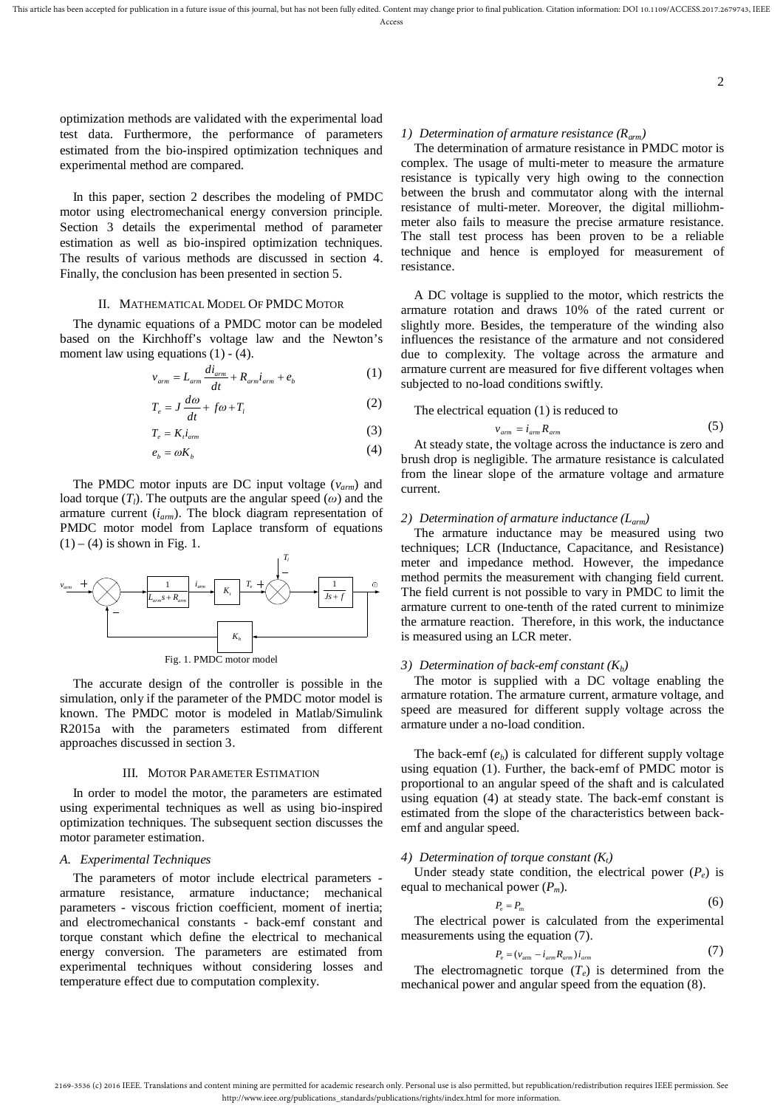optimization methods are validated with the experimental load test data. Furthermore, the performance of parameters estimated from the bio-inspired optimization techniques and experimental method are compared.

In this paper, section 2 describes the modeling of PMDC motor using electromechanical energy conversion principle. Section 3 details the experimental method of parameter estimation as well as bio-inspired optimization techniques. The results of various methods are discussed in section 4. Finally, the conclusion has been presented in section 5.

## II. MATHEMATICAL MODEL OF PMDC MOTOR

The dynamic equations of a PMDC motor can be modeled based on the Kirchhoff's voltage law and the Newton's moment law using equations  $(1) - (4)$ .

$$
v_{arm} = L_{arm} \frac{di_{arm}}{dt} + R_{arm}i_{arm} + e_b
$$
 (1)

$$
T_e = J \frac{d\omega}{dt} + f\omega + T_l \tag{2}
$$

$$
T_e = K_i i_{arm} \tag{3}
$$

$$
e_b = \omega K_b \tag{4}
$$

The PMDC motor inputs are DC input voltage (*varm*) and load torque  $(T_l)$ . The outputs are the angular speed  $(\omega)$  and the armature current (*iarm*). The block diagram representation of PMDC motor model from Laplace transform of equations  $(1) - (4)$  is shown in Fig. 1.



The accurate design of the controller is possible in the simulation, only if the parameter of the PMDC motor model is known. The PMDC motor is modeled in Matlab/Simulink R2015a with the parameters estimated from different approaches discussed in section 3.

## III. MOTOR PARAMETER ESTIMATION

In order to model the motor, the parameters are estimated using experimental techniques as well as using bio-inspired optimization techniques. The subsequent section discusses the motor parameter estimation.

## *A. Experimental Techniques*

The parameters of motor include electrical parameters armature resistance, armature inductance; mechanical parameters - viscous friction coefficient, moment of inertia; and electromechanical constants - back-emf constant and torque constant which define the electrical to mechanical energy conversion. The parameters are estimated from experimental techniques without considering losses and temperature effect due to computation complexity.

# *1) Determination of armature resistance (Rarm)*

The determination of armature resistance in PMDC motor is complex. The usage of multi-meter to measure the armature resistance is typically very high owing to the connection between the brush and commutator along with the internal resistance of multi-meter. Moreover, the digital milliohmmeter also fails to measure the precise armature resistance. The stall test process has been proven to be a reliable technique and hence is employed for measurement of resistance.

2

A DC voltage is supplied to the motor, which restricts the armature rotation and draws 10% of the rated current or slightly more. Besides, the temperature of the winding also influences the resistance of the armature and not considered due to complexity. The voltage across the armature and armature current are measured for five different voltages when subjected to no-load conditions swiftly.

The electrical equation (1) is reduced to

$$
v_{arm} = i_{arm} R_{arm} \tag{5}
$$

At steady state, the voltage across the inductance is zero and brush drop is negligible. The armature resistance is calculated from the linear slope of the armature voltage and armature current.

#### *2) Determination of armature inductance (Larm)*

The armature inductance may be measured using two techniques; LCR (Inductance, Capacitance, and Resistance) meter and impedance method. However, the impedance method permits the measurement with changing field current. The field current is not possible to vary in PMDC to limit the armature current to one-tenth of the rated current to minimize the armature reaction. Therefore, in this work, the inductance is measured using an LCR meter.

#### *3) Determination of back-emf constant (Kb)*

The motor is supplied with a DC voltage enabling the armature rotation. The armature current, armature voltage, and speed are measured for different supply voltage across the armature under a no-load condition.

The back-emf  $(e_b)$  is calculated for different supply voltage using equation (1). Further, the back-emf of PMDC motor is proportional to an angular speed of the shaft and is calculated using equation (4) at steady state. The back-emf constant is estimated from the slope of the characteristics between backemf and angular speed.

### *4) Determination of torque constant (Kt)*

Under steady state condition, the electrical power  $(P_e)$  is equal to mechanical power (*Pm*)*.*

$$
P_{\rm e} = P_{\rm m} \tag{6}
$$

The electrical power is calculated from the experimental measurements using the equation (7).

$$
P_{\rm e} = (v_{\rm arm} - i_{\rm arm} R_{\rm arm}) i_{\rm arm} \tag{7}
$$

The electromagnetic torque (*Te*) is determined from the mechanical power and angular speed from the equation (8).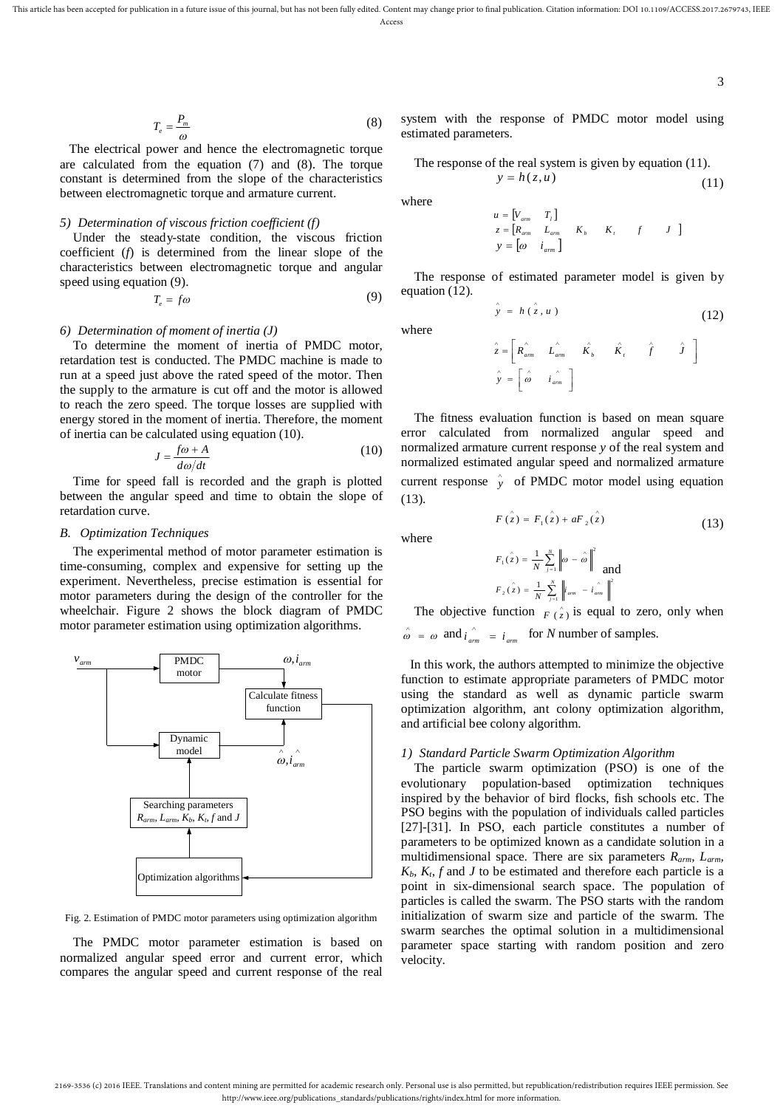where

where

$$
T_e = \frac{P_m}{\omega} \tag{8}
$$

The electrical power and hence the electromagnetic torque are calculated from the equation (7) and (8). The torque constant is determined from the slope of the characteristics between electromagnetic torque and armature current.

## *5) Determination of viscous friction coefficient (f)*

Under the steady-state condition, the viscous friction coefficient (*f*) is determined from the linear slope of the characteristics between electromagnetic torque and angular speed using equation (9).

$$
T_e = f\omega \tag{9}
$$

#### *6) Determination of moment of inertia (J)*

To determine the moment of inertia of PMDC motor, retardation test is conducted. The PMDC machine is made to run at a speed just above the rated speed of the motor. Then the supply to the armature is cut off and the motor is allowed to reach the zero speed. The torque losses are supplied with energy stored in the moment of inertia. Therefore, the moment of inertia can be calculated using equation (10).

$$
J = \frac{f\omega + A}{d\omega/dt} \tag{10}
$$

Time for speed fall is recorded and the graph is plotted between the angular speed and time to obtain the slope of retardation curve.

### *B. Optimization Techniques*

The experimental method of motor parameter estimation is time-consuming, complex and expensive for setting up the experiment. Nevertheless, precise estimation is essential for motor parameters during the design of the controller for the wheelchair. Figure 2 shows the block diagram of PMDC motor parameter estimation using optimization algorithms.



Fig. 2. Estimation of PMDC motor parameters using optimization algorithm

The PMDC motor parameter estimation is based on normalized angular speed error and current error, which compares the angular speed and current response of the real

system with the response of PMDC motor model using estimated parameters.

The response of the real system is given by equation (11).  $y = h(z, u)$ (11)

*u*

$$
u = \begin{bmatrix} V_{arm} & T_l \end{bmatrix}
$$
  
\n
$$
z = \begin{bmatrix} R_{arm} & L_{arm} & K_b & K_l & f & J \end{bmatrix}
$$
  
\n
$$
y = \begin{bmatrix} \omega & i_{arm} \end{bmatrix}
$$

The response of estimated parameter model is given by equation (12).

$$
\hat{y} = h(\hat{z}, u) \tag{12}
$$

$$
\hat{z} = \begin{bmatrix} \hat{R}_{am} & \hat{L}_{am} & \hat{K}_b & \hat{K}_t & \hat{f} & \hat{J} \end{bmatrix}
$$
  

$$
\hat{y} = \begin{bmatrix} \hat{\omega} & \hat{i}_{am} \\ \hat{w} & \hat{i}_{am} \end{bmatrix}
$$

The fitness evaluation function is based on mean square error calculated from normalized angular speed and normalized armature current response *y* of the real system and normalized estimated angular speed and normalized armature current response  $\hat{y}$  of PMDC motor model using equation (13).

$$
F(\hat{z}) = F_1(\hat{z}) + aF_2(\hat{z})
$$
\n(13)

where

$$
F_1(\hat{z}) = \frac{1}{N} \sum_{j=1}^N \left\| \omega - \hat{\omega} \right\|^2
$$
  

$$
F_2(\hat{z}) = \frac{1}{N} \sum_{j=1}^N \left\| i_{am} - i_{am} \right\|^2
$$

The objective function  $F(\hat{z})$  is equal to zero, only when  $\hat{\omega} = \omega$  and  $i_{arm}$  =  $i_{arm}$  for *N* number of samples.

In this work, the authors attempted to minimize the objective function to estimate appropriate parameters of PMDC motor using the standard as well as dynamic particle swarm optimization algorithm, ant colony optimization algorithm, and artificial bee colony algorithm.

## *1) Standard Particle Swarm Optimization Algorithm*

The particle swarm optimization (PSO) is one of the evolutionary population-based optimization techniques inspired by the behavior of bird flocks, fish schools etc. The PSO begins with the population of individuals called particles [27]-[31]. In PSO, each particle constitutes a number of parameters to be optimized known as a candidate solution in a multidimensional space*.* There are six parameters *Rarm, Larm,*   $K_b$ ,  $K_t$ ,  $f$  and  $J$  to be estimated and therefore each particle is a point in six-dimensional search space. The population of particles is called the swarm. The PSO starts with the random initialization of swarm size and particle of the swarm. The swarm searches the optimal solution in a multidimensional parameter space starting with random position and zero velocity.

<sup>2169-3536 (</sup>c) 2016 IEEE. Translations and content mining are permitted for academic research only. Personal use is also permitted, but republication/redistribution requires IEEE permission. See http://www.ieee.org/publications\_standards/publications/rights/index.html for more information.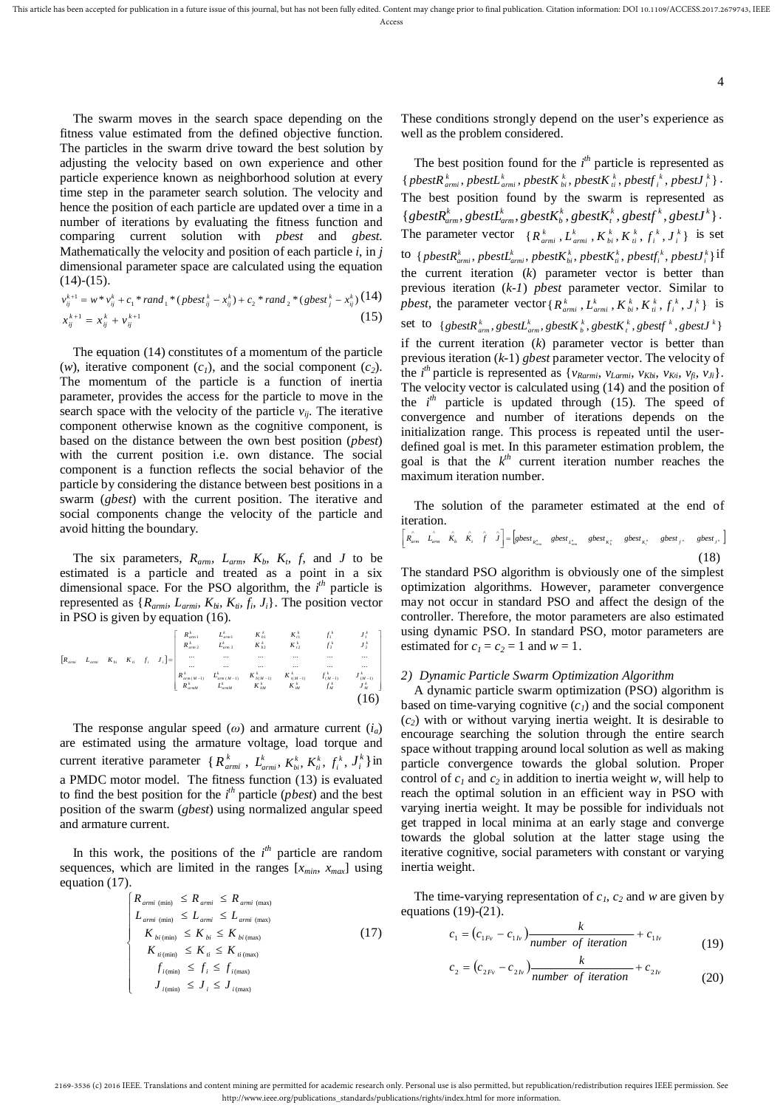The swarm moves in the search space depending on the fitness value estimated from the defined objective function. The particles in the swarm drive toward the best solution by adjusting the velocity based on own experience and other particle experience known as neighborhood solution at every time step in the parameter search solution. The velocity and hence the position of each particle are updated over a time in a number of iterations by evaluating the fitness function and comparing current solution with *pbest* and *gbest*. Mathematically the velocity and position of each particle *i*, in *j* dimensional parameter space are calculated using the equation  $(14)-(15)$ .

$$
v_{ij}^{k+1} = w * v_{ij}^k + c_1 * rand_1 * (pbest_{ij}^k - x_{ij}^k) + c_2 * rand_2 * (gbest_j^k - x_{ij}^k) (14)
$$
  

$$
x_{ij}^{k+1} = x_{ij}^k + v_{ij}^{k+1}
$$
 (15)

The equation (14) constitutes of a momentum of the particle (*w*), iterative component ( $c_1$ ), and the social component ( $c_2$ ). The momentum of the particle is a function of inertia parameter, provides the access for the particle to move in the search space with the velocity of the particle  $v_{ii}$ . The iterative component otherwise known as the cognitive component, is based on the distance between the own best position (*pbest*) with the current position i.e. own distance. The social component is a function reflects the social behavior of the particle by considering the distance between best positions in a swarm (*gbest*) with the current position. The iterative and social components change the velocity of the particle and avoid hitting the boundary.

The six parameters,  $R_{arm}$ ,  $L_{arm}$ ,  $K_b$ ,  $K_b$ ,  $f$ , and  $J$  to be estimated is a particle and treated as a point in a six dimensional space. For the PSO algorithm, the *i th* particle is represented as  $\{R_{armi}, L_{armi}, K_{bi}, K_{ti}, f_i, J_i\}$ . The position vector in PSO is given by equation (16).

$$
\begin{bmatrix}\nR_{\text{emil}} & K_{\text{in}} & K_{\text{in}} & K_{\text{onil}}^1 & K_{\text{in}}^1 & K_{\text{in}}^1 & K_{\text{in}}^1 & K_{\text{in}}^1 & K_{\text{in}}^1 \\
R_{\text{emil}}^1 & K_{\text{in}} & K_{\text{in}}^1 & K_{\text{inil}}^2 & K_{\text{inil}}^2 & K_{\text{inil}}^2 & K_{\text{inil}}^2 & K_{\text{inil}}^2 & K_{\text{inil}}^2 \\
\vdots & \vdots & \vdots & \vdots & \vdots & \vdots & \vdots & \vdots \\
R_{\text{emil}}^1 & K_{\text{inil}} & K_{\text{outil}} & K_{\text{outil}}^1 & K_{\text{outil}}^1 & K_{\text{outil}}^1 & K_{\text{outil}}^1 & K_{\text{outil}}^1 & K_{\text{outil}}^1 & K_{\text{outil}}^1 & K_{\text{outil}}^1 & K_{\text{outil}}^1 & K_{\text{outil}}^1 & K_{\text{outil}}^1 & K_{\text{outil}}^1 & K_{\text{outil}}^1 & K_{\text{outil}}^1 & K_{\text{outil}}^1 & K_{\text{outil}}^1 & K_{\text{outil}}^1 & K_{\text{outil}}^1 & K_{\text{outil}}^1 & K_{\text{outil}}^1 & K_{\text{outil}}^1 & K_{\text{outil}}^1 & K_{\text{outil}}^1 & K_{\text{outil}}^1 & K_{\text{outil}}^1 & K_{\text{outil}}^1 & K_{\text{outil}}^1 & K_{\text{outil}}^1 & K_{\text{outil}}^1 & K_{\text{outil}}^1 & K_{\text{outil}}^1 & K_{\text{outil}}^1 & K_{\text{outil}}^1 & K_{\text{outil}}^1 & K_{\text{outil}}^1 & K_{\text{outil}}^1 & K_{\text{outil}}^1 & K_{\text{outil}}^1 & K_{\text{outil}}^1 & K_{\text{outil}}^1 & K_{\text{outil}}^1 & K_{\text{outil}}^1 & K_{\text{outil}}^1 & K_{\text{outil}}^1 & K_{\text{outil}}^1 & K_{\text{outil}}^1 & K_{\text{
$$

The response angular speed  $(\omega)$  and armature current  $(i_a)$ are estimated using the armature voltage, load torque and current iterative parameter  $\{R_{armi}^k, L_{armi}^k, K_{bi}^k, K_i^k, f_i^k, J_i^k\}$  in a PMDC motor model. The fitness function (13) is evaluated to find the best position for the *i th* particle (*pbest*) and the best position of the swarm (*gbest*) using normalized angular speed and armature current.

In this work, the positions of the  $i<sup>th</sup>$  particle are random sequences, which are limited in the ranges  $[x_{min}, x_{max}]$  using equation (17).

$$
\begin{cases}\nR_{amii \text{ (min)}} \leq R_{amii} \leq R_{amii \text{ (max)}} \\
L_{amii \text{ (min)}} \leq L_{amii} \leq L_{amii \text{ (max)}} \\
K_{bi \text{ (min)}} \leq K_{bi} \leq K_{bi \text{ (max)}} \\
K_{ii \text{ (min)}} \leq K_{ii} \leq K_{ii \text{ (max)}} \\
f_{i \text{ (min)}} \leq f_i \leq f_{i \text{ (max)}} \\
J_{i \text{ (min)}} \leq J_i \leq J_{i \text{ (max)}}\n\end{cases} \tag{17}
$$

These conditions strongly depend on the user's experience as well as the problem considered.

The best position found for the  $i<sup>th</sup>$  particle is represented as  $\{ \textit{pbestR}_{\textit{armi}}^k, \textit{pbestL}_{\textit{armi}}^k, \textit{pbestK}_{\textit{bi}}^k, \textit{pbestK}_{\textit{ii}}^k, \textit{pbestf}_{\textit{i}}^k, \textit{pbestJ}_{\textit{i}}^k \}$ . The best position found by the swarm is represented as  $\{gbestR_{arm}^k, gbestL_{arm}^k, gbestK_b^k, gbestK_t^k, gbestf^k, gbestf^k\}.$ The parameter vector  $\{R_{armi}^k, L_{armi}^k, K_{bi}^k, K_{i}^k, f_i^k, J_i^k\}$  is set  $\mathcal{A}^k$  to  $\{pbestR_{armi}^k, pbestL_{armi}^k, pbestK_{bi}^k, pbestK_{ii}^k, pbestf_i^k, pbestJ_i^k\}$ the current iteration (*k*) parameter vector is better than previous iteration (*k*-*1*) *pbest* parameter vector. Similar to *pbest*, the parameter vector { $R_{armi}^k$ ,  $L_{armi}^k$ ,  $K_{bi}^k$ ,  $K_{ii}^k$ ,  $f_i^k$ ,  $J_i^k$ } is set to  $\{gbestR_{arm}^k, gbestL_{arm}^k, gbestK_{b}^k, gbestK_{t}^k, gbestf^k, gbestf^k\}$ if the current iteration (*k*) parameter vector is better than previous iteration (*k*-1) *gbest* parameter vector. The velocity of the *i*<sup>th</sup> particle is represented as  $\{v_{Rarmi}, v_{Larmi}, v_{Kbi}, v_{Ki}, v_{fi}, v_{Ji}\}.$ The velocity vector is calculated using (14) and the position of the *i th* particle is updated through (15). The speed of convergence and number of iterations depends on the initialization range. This process is repeated until the userdefined goal is met. In this parameter estimation problem, the goal is that the  $k^{th}$  current iteration number reaches the maximum iteration number.

The solution of the parameter estimated at the end of iteration.

$$
\begin{bmatrix} R_{arm} & \hat{L}_{arm} & \hat{K}_b & \hat{K}_t & \hat{f} & \hat{J} \end{bmatrix} = \begin{bmatrix} gbest_{R_{arm}^*} & gbest_{L_{arm}^*} & gbest_{K_s^*} & gbest_{K_s^*} & gbest_{J^*} \end{bmatrix} \tag{18}
$$

The standard PSO algorithm is obviously one of the simplest optimization algorithms. However, parameter convergence may not occur in standard PSO and affect the design of the controller. Therefore, the motor parameters are also estimated using dynamic PSO. In standard PSO, motor parameters are estimated for  $c_1 = c_2 = 1$  and  $w = 1$ .

## *2) Dynamic Particle Swarm Optimization Algorithm*

A dynamic particle swarm optimization (PSO) algorithm is based on time-varying cognitive  $(c_i)$  and the social component (*c2*) with or without varying inertia weight. It is desirable to encourage searching the solution through the entire search space without trapping around local solution as well as making particle convergence towards the global solution. Proper control of  $c_1$  and  $c_2$  in addition to inertia weight *w*, will help to reach the optimal solution in an efficient way in PSO with varying inertia weight. It may be possible for individuals not get trapped in local minima at an early stage and converge towards the global solution at the latter stage using the iterative cognitive, social parameters with constant or varying inertia weight.

The time-varying representation of *c1*, *c<sup>2</sup>* and *w* are given by equations (19)-(21).

$$
c_1 = (c_{1Fv} - c_{1lv}) \frac{k}{number \ of \ iteration} + c_{1lv}
$$
 (19)

$$
c_2 = (c_{2F_v} - c_{2F_v}) \frac{k}{number\ of\ iteration} + c_{2F_v}
$$
 (20)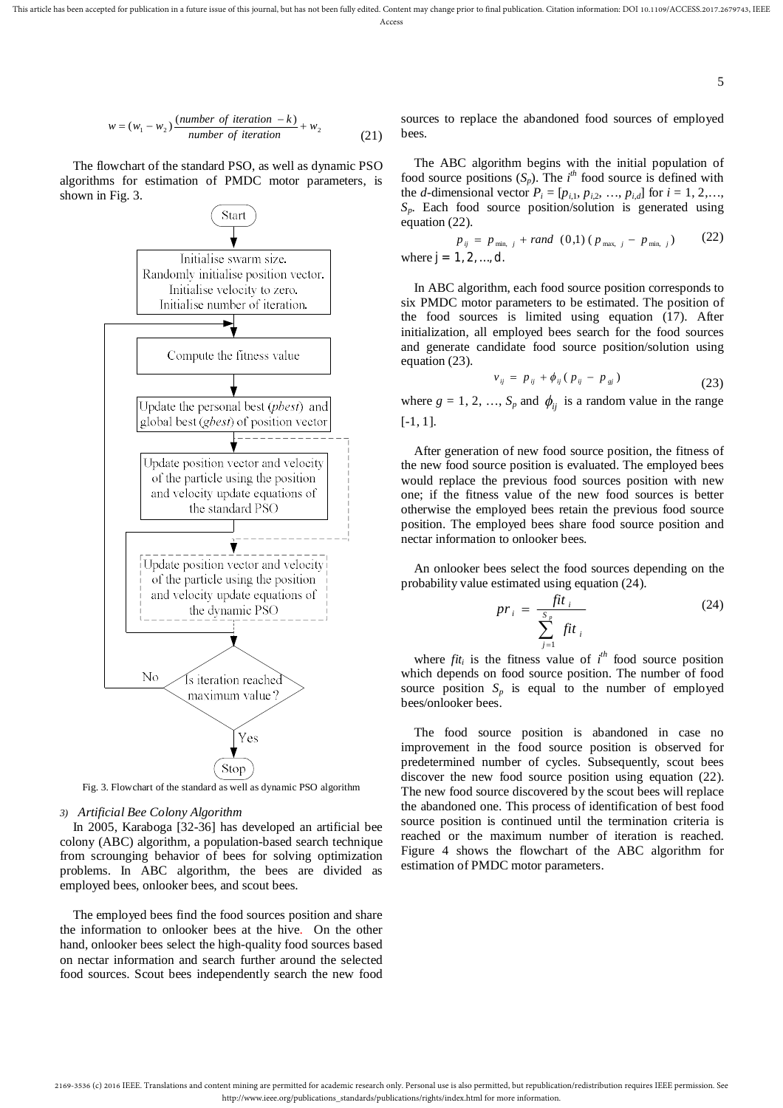This article has been accepted for publication in a future issue of this journal, but has not been fully edited. Content may change prior to final publication. Citation information: DOI 10.1109/ACCESS.2017.2679743, IEEE Access

$$
w = (w_1 - w_2) \frac{(number\ of\ iteration - k)}{number\ of\ iteration} + w_2
$$
\n(21)

The flowchart of the standard PSO, as well as dynamic PSO algorithms for estimation of PMDC motor parameters, is shown in Fig. 3.



Fig. 3. Flowchart of the standard as well as dynamic PSO algorithm

## *3) Artificial Bee Colony Algorithm*

In 2005, Karaboga [32-36] has developed an artificial bee colony (ABC) algorithm, a population-based search technique from scrounging behavior of bees for solving optimization problems. In ABC algorithm, the bees are divided as employed bees, onlooker bees, and scout bees.

The employed bees find the food sources position and share the information to onlooker bees at the hive. On the other hand, onlooker bees select the high-quality food sources based on nectar information and search further around the selected food sources. Scout bees independently search the new food

sources to replace the abandoned food sources of employed bees.

5

The ABC algorithm begins with the initial population of food source positions  $(S_p)$ . The *i*<sup>th</sup> food source is defined with the *d*-dimensional vector  $P_i = [p_{i,1}, p_{i,2}, ..., p_{i,d}]$  for  $i = 1, 2, ...,$ *Sp*. Each food source position/solution is generated using equation (22).

$$
p_{ij} = p_{\min, j} + rand (0,1) (p_{\max, j} - p_{\min, j})
$$
 (22)  
where  $j = 1, 2, ..., d$ .

In ABC algorithm, each food source position corresponds to six PMDC motor parameters to be estimated. The position of the food sources is limited using equation (17). After initialization, all employed bees search for the food sources and generate candidate food source position/solution using equation (23).

$$
v_{ij} = p_{ij} + \phi_{ij} (p_{ij} - p_{sj})
$$
 (23)

where  $g = 1, 2, ..., S_p$  and  $\phi_{ij}$  is a random value in the range [-1, 1].

After generation of new food source position, the fitness of the new food source position is evaluated. The employed bees would replace the previous food sources position with new one; if the fitness value of the new food sources is better otherwise the employed bees retain the previous food source position. The employed bees share food source position and nectar information to onlooker bees.

An onlooker bees select the food sources depending on the probability value estimated using equation (24).

$$
pr_{i} = \frac{fit_{i}}{\sum_{j=1}^{S_{p}} fit_{i}}
$$
 (24)

where  $fit_i$  is the fitness value of  $i^{th}$  food source position which depends on food source position. The number of food source position  $S_p$  is equal to the number of employed bees/onlooker bees.

The food source position is abandoned in case no improvement in the food source position is observed for predetermined number of cycles. Subsequently, scout bees discover the new food source position using equation (22). The new food source discovered by the scout bees will replace the abandoned one. This process of identification of best food source position is continued until the termination criteria is reached or the maximum number of iteration is reached. Figure 4 shows the flowchart of the ABC algorithm for estimation of PMDC motor parameters.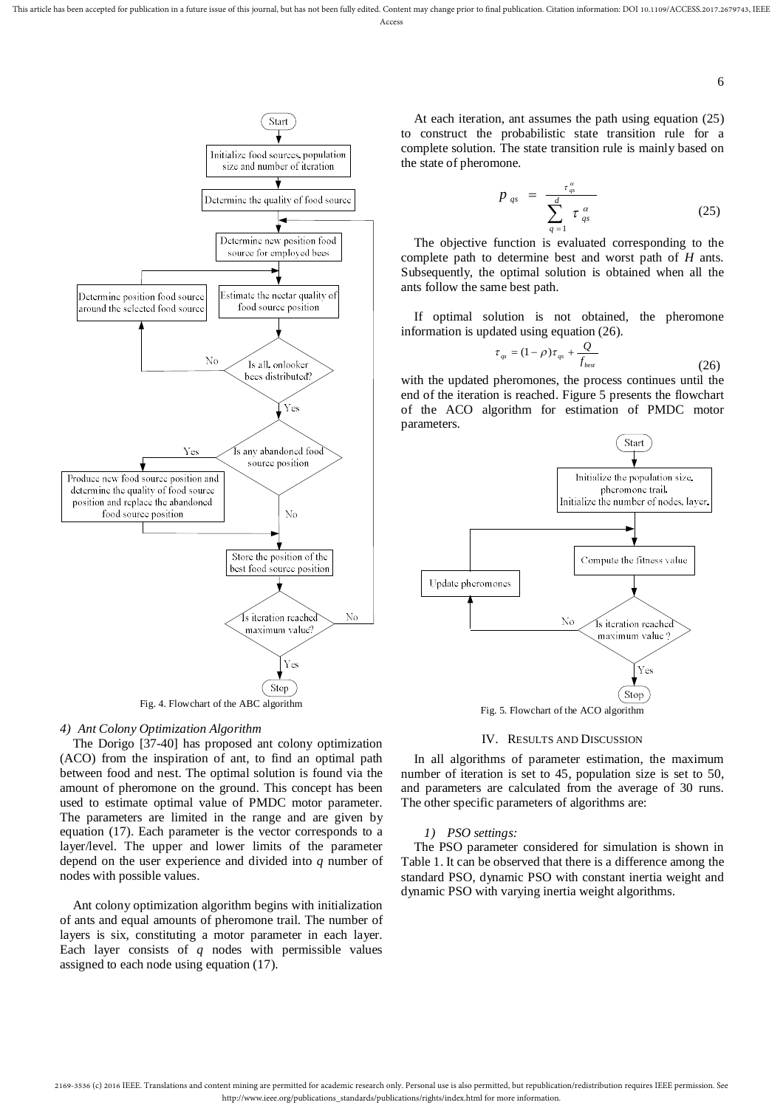

## *4) Ant Colony Optimization Algorithm*

The Dorigo [37-40] has proposed ant colony optimization (ACO) from the inspiration of ant, to find an optimal path between food and nest. The optimal solution is found via the amount of pheromone on the ground. This concept has been used to estimate optimal value of PMDC motor parameter. The parameters are limited in the range and are given by equation (17). Each parameter is the vector corresponds to a layer/level. The upper and lower limits of the parameter depend on the user experience and divided into *q* number of nodes with possible values.

Ant colony optimization algorithm begins with initialization of ants and equal amounts of pheromone trail. The number of layers is six, constituting a motor parameter in each layer. Each layer consists of *q* nodes with permissible values assigned to each node using equation (17).

At each iteration, ant assumes the path using equation (25) to construct the probabilistic state transition rule for a complete solution. The state transition rule is mainly based on the state of pheromone.

$$
p_{qs} = \frac{\tau_{qs}^{\alpha}}{\sum_{q=1}^{d} \tau_{qs}^{\alpha}}
$$
 (25)

The objective function is evaluated corresponding to the complete path to determine best and worst path of *H* ants. Subsequently, the optimal solution is obtained when all the ants follow the same best path.

If optimal solution is not obtained, the pheromone information is updated using equation (26).

$$
\tau_{qs} = (1 - \rho)\tau_{qs} + \frac{Q}{f_{best}} \tag{26}
$$

with the updated pheromones, the process continues until the end of the iteration is reached. Figure 5 presents the flowchart of the ACO algorithm for estimation of PMDC motor parameters.



#### IV. RESULTS AND DISCUSSION

In all algorithms of parameter estimation, the maximum number of iteration is set to 45, population size is set to 50, and parameters are calculated from the average of 30 runs. The other specific parameters of algorithms are:

#### *1) PSO settings:*

The PSO parameter considered for simulation is shown in Table 1. It can be observed that there is a difference among the standard PSO, dynamic PSO with constant inertia weight and dynamic PSO with varying inertia weight algorithms.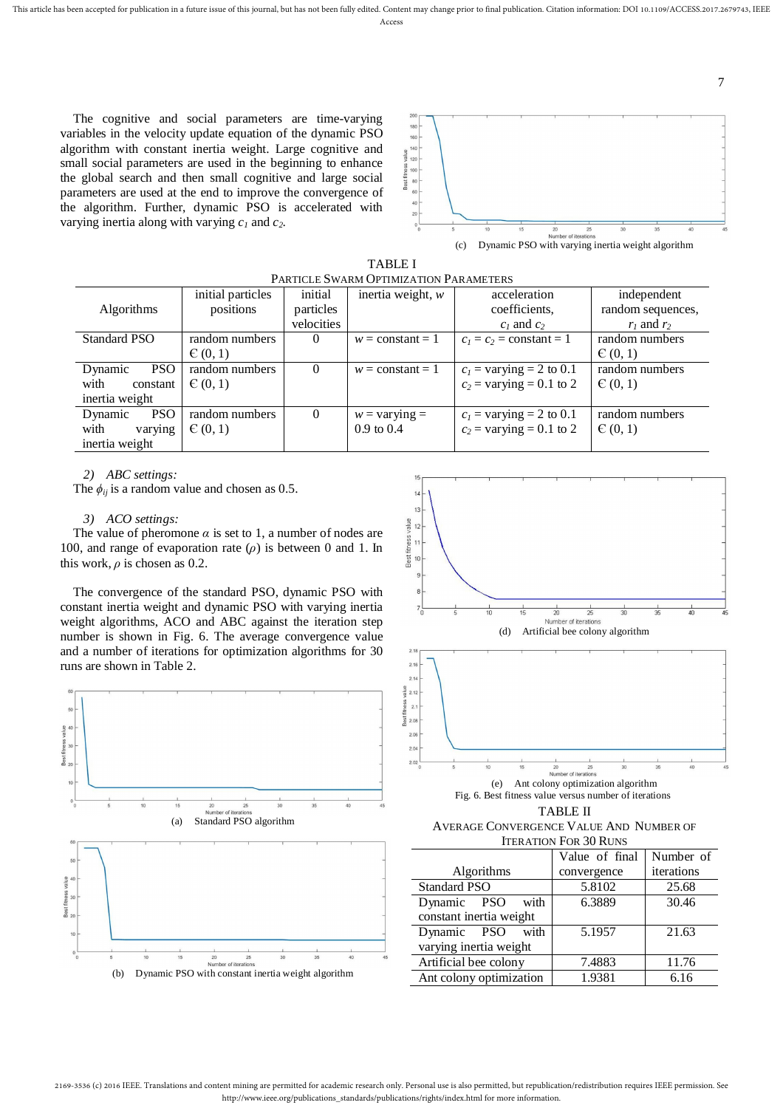This article has been accepted for publication in a future issue of this journal, but has not been fully edited. Content may change prior to final publication. Citation information: DOI 10.1109/ACCESS.2017.2679743, IEEE

The cognitive and social parameters are time-varying variables in the velocity update equation of the dynamic PSO algorithm with constant inertia weight. Large cognitive and small social parameters are used in the beginning to enhance the global search and then small cognitive and large social parameters are used at the end to improve the convergence of the algorithm. Further, dynamic PSO is accelerated with varying inertia along with varying *c<sup>1</sup>* and *c2*.





| PARTICLE SWARM OPTIMIZATION PARAMETERS |                   |            |                        |                            |                   |  |  |  |  |
|----------------------------------------|-------------------|------------|------------------------|----------------------------|-------------------|--|--|--|--|
|                                        | initial particles | initial    | inertia weight, $w$    | acceleration               | independent       |  |  |  |  |
| <b>Algorithms</b>                      | positions         | particles  |                        | coefficients,              | random sequences, |  |  |  |  |
|                                        |                   | velocities |                        | $c_1$ and $c_2$            | $r_1$ and $r_2$   |  |  |  |  |
| <b>Standard PSO</b>                    | random numbers    | $\theta$   | $w = constant = 1$     | $c_1 = c_2$ = constant = 1 | random numbers    |  |  |  |  |
|                                        | E(0,1)            |            |                        |                            | C(0, 1)           |  |  |  |  |
| Dynamic<br><b>PSO</b>                  | random numbers    | $\Omega$   | $w = constant = 1$     | $c_1$ = varying = 2 to 0.1 | random numbers    |  |  |  |  |
| with<br>constant                       | C(0,1)            |            |                        | $c_2$ = varying = 0.1 to 2 | C(0, 1)           |  |  |  |  |
| inertia weight                         |                   |            |                        |                            |                   |  |  |  |  |
| <b>PSO</b><br>Dynamic                  | random numbers    | $\Omega$   | $w = \text{varying} =$ | $c_1$ = varying = 2 to 0.1 | random numbers    |  |  |  |  |
| with<br>varying                        | C(0,1)            |            | $0.9 \text{ to } 0.4$  | $c_2$ = varying = 0.1 to 2 | C(0, 1)           |  |  |  |  |
| inertia weight                         |                   |            |                        |                            |                   |  |  |  |  |

*2) ABC settings:*

The  $\phi_{ij}$  is a random value and chosen as 0.5.

#### *3) ACO settings:*

The value of pheromone  $\alpha$  is set to 1, a number of nodes are 100, and range of evaporation rate  $(\rho)$  is between 0 and 1. In this work,  $\rho$  is chosen as 0.2.

The convergence of the standard PSO, dynamic PSO with constant inertia weight and dynamic PSO with varying inertia weight algorithms, ACO and ABC against the iteration step number is shown in Fig. 6. The average convergence value and a number of iterations for optimization algorithms for 30 runs are shown in Table 2.







Fig. 6. Best fitness value versus number of iterations TABLE II

AVERAGE CONVERGENCE VALUE AND NUMBER OF ITERATION FOR 30 RUNS

|                         | Value of final | Number of  |  |
|-------------------------|----------------|------------|--|
| Algorithms              | convergence    | iterations |  |
| <b>Standard PSO</b>     | 5.8102         | 25.68      |  |
| Dynamic PSO<br>with     | 6.3889         | 30.46      |  |
| constant inertia weight |                |            |  |
| Dynamic PSO with        | 5.1957         | 21.63      |  |
| varying inertia weight  |                |            |  |
| Artificial bee colony   | 7.4883         | 11.76      |  |
| Ant colony optimization | 1.9381         | 6.16       |  |

7

 $20$  $200$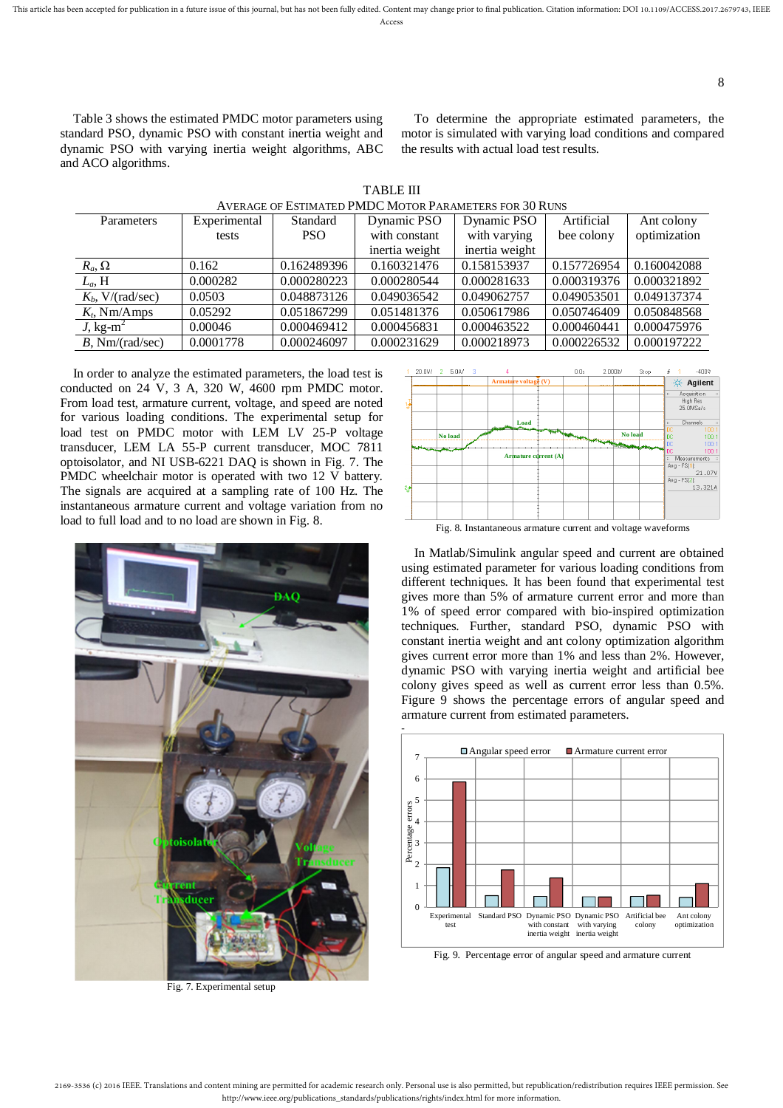Access

Table 3 shows the estimated PMDC motor parameters using standard PSO, dynamic PSO with constant inertia weight and dynamic PSO with varying inertia weight algorithms, ABC and ACO algorithms.

To determine the appropriate estimated parameters, the motor is simulated with varying load conditions and compared the results with actual load test results.

| AVERAGE OF ESTIMATED PMDC MOTOR PARAMETERS FOR 30 RUNS |              |             |                |                |             |              |  |  |  |  |
|--------------------------------------------------------|--------------|-------------|----------------|----------------|-------------|--------------|--|--|--|--|
| Parameters                                             | Experimental | Standard    | Dynamic PSO    | Dynamic PSO    | Artificial  | Ant colony   |  |  |  |  |
|                                                        | tests        | <b>PSO</b>  | with constant  | with varying   | bee colony  | optimization |  |  |  |  |
|                                                        |              |             | inertia weight | inertia weight |             |              |  |  |  |  |
| $R_a, \Omega$                                          | 0.162        | 0.162489396 | 0.160321476    | 0.158153937    | 0.157726954 | 0.160042088  |  |  |  |  |
| $L_a$ , H                                              | 0.000282     | 0.000280223 | 0.000280544    | 0.000281633    | 0.000319376 | 0.000321892  |  |  |  |  |
| $Kb$ , V/(rad/sec)                                     | 0.0503       | 0.048873126 | 0.049036542    | 0.049062757    | 0.049053501 | 0.049137374  |  |  |  |  |
| $K_t$ , Nm/Amps                                        | 0.05292      | 0.051867299 | 0.051481376    | 0.050617986    | 0.050746409 | 0.050848568  |  |  |  |  |
| J, kg-m <sup>2</sup>                                   | 0.00046      | 0.000469412 | 0.000456831    | 0.000463522    | 0.000460441 | 0.000475976  |  |  |  |  |
| $B$ , Nm/(rad/sec)                                     | 0.0001778    | 0.000246097 | 0.000231629    | 0.000218973    | 0.000226532 | 0.000197222  |  |  |  |  |

TABLE III AVERAGE OF ESTIMATED PMDC MOTOR PARAMETERS FOR 30 RUNS

In order to analyze the estimated parameters, the load test is conducted on 24 V, 3 A, 320 W, 4600 rpm PMDC motor. From load test, armature current, voltage, and speed are noted for various loading conditions. The experimental setup for load test on PMDC motor with LEM LV 25-P voltage transducer, LEM LA 55-P current transducer, MOC 7811 optoisolator, and NI USB-6221 DAQ is shown in Fig. 7. The PMDC wheelchair motor is operated with two 12 V battery. The signals are acquired at a sampling rate of 100 Hz. The instantaneous armature current and voltage variation from no load to full load and to no load are shown in Fig. 8.



Fig. 7. Experimental setup



Fig. 8. Instantaneous armature current and voltage waveforms

In Matlab/Simulink angular speed and current are obtained using estimated parameter for various loading conditions from different techniques. It has been found that experimental test gives more than 5% of armature current error and more than 1% of speed error compared with bio-inspired optimization techniques. Further, standard PSO, dynamic PSO with constant inertia weight and ant colony optimization algorithm gives current error more than 1% and less than 2%. However, dynamic PSO with varying inertia weight and artificial bee colony gives speed as well as current error less than 0.5%. Figure 9 shows the percentage errors of angular speed and armature current from estimated parameters.



Fig. 9. Percentage error of angular speed and armature current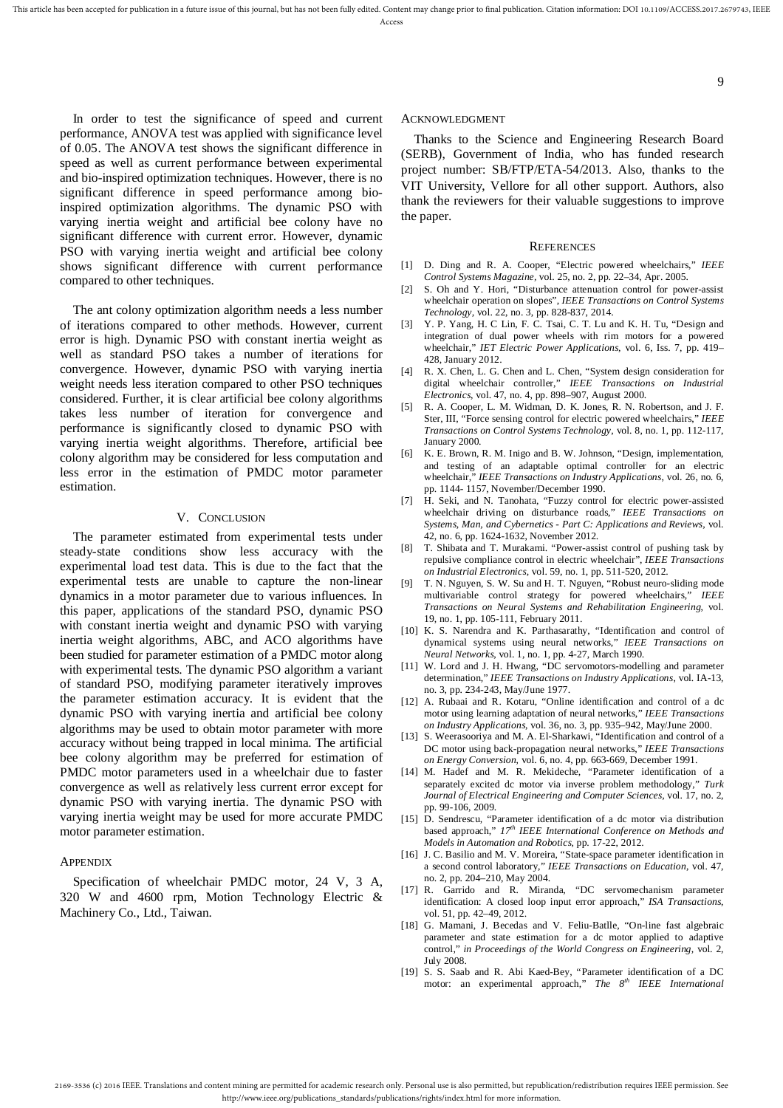In order to test the significance of speed and current performance, ANOVA test was applied with significance level of 0.05. The ANOVA test shows the significant difference in speed as well as current performance between experimental and bio-inspired optimization techniques. However, there is no significant difference in speed performance among bioinspired optimization algorithms. The dynamic PSO with varying inertia weight and artificial bee colony have no significant difference with current error. However, dynamic PSO with varying inertia weight and artificial bee colony shows significant difference with current performance compared to other techniques.

The ant colony optimization algorithm needs a less number of iterations compared to other methods. However, current error is high. Dynamic PSO with constant inertia weight as well as standard PSO takes a number of iterations for convergence. However, dynamic PSO with varying inertia weight needs less iteration compared to other PSO techniques considered. Further, it is clear artificial bee colony algorithms takes less number of iteration for convergence and performance is significantly closed to dynamic PSO with varying inertia weight algorithms. Therefore, artificial bee colony algorithm may be considered for less computation and less error in the estimation of PMDC motor parameter estimation.

## V. CONCLUSION

The parameter estimated from experimental tests under steady-state conditions show less accuracy with the experimental load test data. This is due to the fact that the experimental tests are unable to capture the non-linear dynamics in a motor parameter due to various influences. In this paper, applications of the standard PSO, dynamic PSO with constant inertia weight and dynamic PSO with varying inertia weight algorithms, ABC, and ACO algorithms have been studied for parameter estimation of a PMDC motor along with experimental tests. The dynamic PSO algorithm a variant of standard PSO, modifying parameter iteratively improves the parameter estimation accuracy. It is evident that the dynamic PSO with varying inertia and artificial bee colony algorithms may be used to obtain motor parameter with more accuracy without being trapped in local minima. The artificial bee colony algorithm may be preferred for estimation of PMDC motor parameters used in a wheelchair due to faster convergence as well as relatively less current error except for dynamic PSO with varying inertia. The dynamic PSO with varying inertia weight may be used for more accurate PMDC motor parameter estimation.

## **APPENDIX**

Specification of wheelchair PMDC motor, 24 V, 3 A, 320 W and 4600 rpm, Motion Technology Electric & Machinery Co., Ltd., Taiwan.

#### ACKNOWLEDGMENT

Thanks to the Science and Engineering Research Board (SERB), Government of India, who has funded research project number: SB/FTP/ETA-54/2013. Also, thanks to the VIT University, Vellore for all other support. Authors, also thank the reviewers for their valuable suggestions to improve the paper.

#### **REFERENCES**

- [1] D. Ding and R. A. Cooper, "Electric powered wheelchairs," *IEEE Control Systems Magazine,* vol. 25, no. 2, pp. 22–34, Apr. 2005.
- [2] S. Oh and Y. Hori, "Disturbance attenuation control for power-assist wheelchair operation on slopes", *IEEE Transactions on Control Systems Technology,* vol. 22, no. 3, pp. 828-837, 2014.
- [3] Y. P. Yang, H. C Lin, F. C. Tsai, C. T. Lu and K. H. Tu, "Design and integration of dual power wheels with rim motors for a powered wheelchair," *IET Electric Power Applications,* vol. 6, Iss. 7, pp. 419– 428, January 2012.
- [4] R. X. Chen, L. G. Chen and L. Chen, "System design consideration for digital wheelchair controller," *IEEE Transactions on Industrial Electronics*, vol. 47, no. 4, pp. 898–907, August 2000.
- [5] R. A. Cooper, L. M. Widman, D. K. Jones, R. N. Robertson, and J. F. Ster, III, "Force sensing control for electric powered wheelchairs," *IEEE Transactions on Control Systems Technology*, vol. 8, no. 1, pp. 112-117, January 2000.
- [6] K. E. Brown, R. M. Inigo and B. W. Johnson, "Design, implementation, and testing of an adaptable optimal controller for an electric wheelchair," *IEEE Transactions on Industry Applications*, vol. 26, no. 6, pp. 1144- 1157, November/December 1990.
- [7] H. Seki, and N. Tanohata, "Fuzzy control for electric power-assisted wheelchair driving on disturbance roads," *IEEE Transactions on Systems, Man, and Cybernetics - Part C: Applications and Reviews,* vol. 42, no. 6, pp. 1624-1632, November 2012.
- [8] T. Shibata and T. Murakami. "Power-assist control of pushing task by repulsive compliance control in electric wheelchair", *IEEE Transactions on Industrial Electronics,* vol. 59, no. 1, pp. 511-520, 2012.
- [9] T. N. Nguyen, S. W. Su and H. T. Nguyen, "Robust neuro-sliding mode multivariable control strategy for powered wheelchairs," *IEEE Transactions on Neural Systems and Rehabilitation Engineering*, vol. 19, no. 1, pp. 105-111, February 2011.
- [10] K. S. Narendra and K. Parthasarathy, "Identification and control of dynamical systems using neural networks," *IEEE Transactions on Neural Networks,* vol. 1, no. 1, pp. 4-27, March 1990.
- [11] W. Lord and J. H. Hwang, "DC servomotors-modelling and parameter determination," *IEEE Transactions on Industry Applications*, vol. IA-13, no. 3, pp. 234-243, May/June 1977.
- [12] A. Rubaai and R. Kotaru, "Online identification and control of a dc motor using learning adaptation of neural networks," *IEEE Transactions on Industry Applications*, vol. 36, no. 3, pp. 935–942, May/June 2000.
- [13] S. Weerasooriya and M. A. El-Sharkawi, "Identification and control of a DC motor using back-propagation neural networks," *IEEE Transactions on Energy Conversion,* vol. 6, no. 4, pp. 663-669, December 1991.
- [14] M. Hadef and M. R. Mekideche, "Parameter identification of a separately excited dc motor via inverse problem methodology," *Turk Journal of Electrical Engineering and Computer Sciences,* vol. 17, no. 2, pp. 99-106, 2009.
- [15] D. Sendrescu, "Parameter identification of a dc motor via distribution based approach," *17th IEEE International Conference on Methods and Models in Automation and Robotics,* pp. 17-22, 2012.
- [16] J. C. Basilio and M. V. Moreira, "State-space parameter identification in a second control laboratory," *IEEE Transactions on Education*, vol. 47, no. 2, pp. 204–210, May 2004.
- [17] R. Garrido and R. Miranda, "DC servomechanism parameter identification: A closed loop input error approach," *ISA Transactions*, vol. 51, pp. 42–49, 2012.
- [18] G. Mamani, J. Becedas and V. Feliu-Batlle, "On-line fast algebraic parameter and state estimation for a dc motor applied to adaptive control," *in Proceedings of the World Congress on Engineering,* vol. 2, July 2008.
- [19] S. S. Saab and R. Abi Kaed-Bey, "Parameter identification of a DC motor: an experimental approach," *The 8th IEEE International*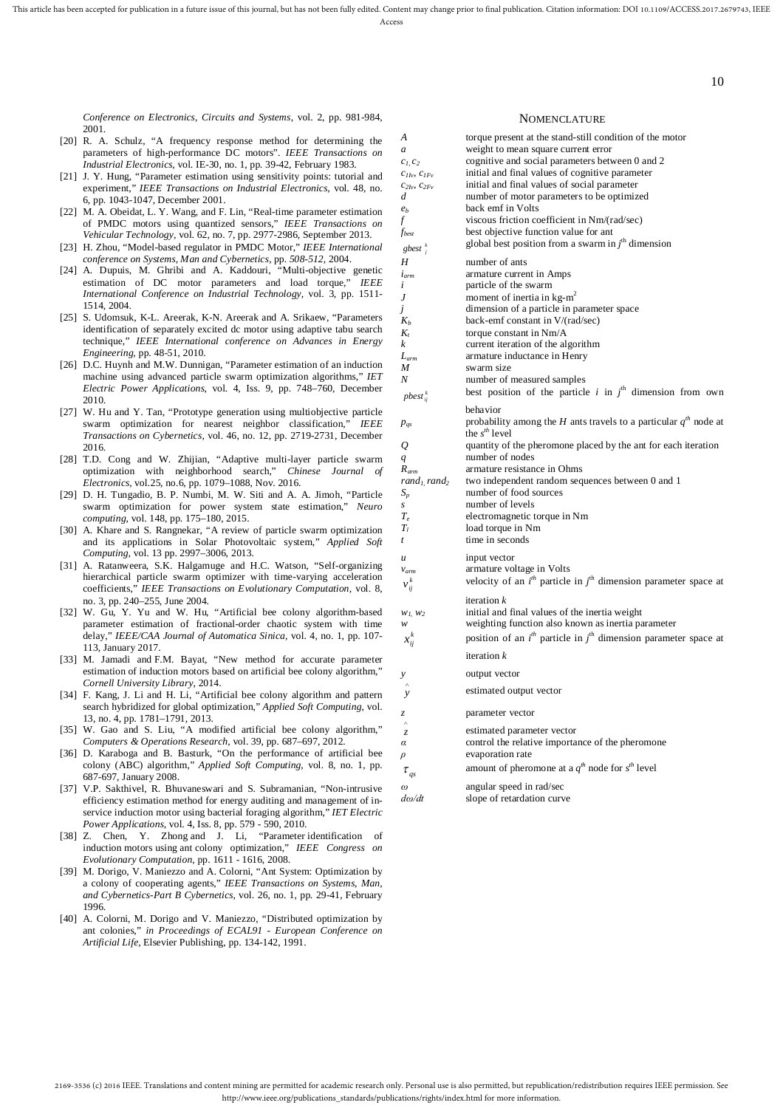Access

*Conference on Electronics, Circuits and Systems,* vol. 2, pp. 981-984, 2001.

- [20] R. A. Schulz, "A frequency response method for determining the parameters of high-performance DC motors". *IEEE Transactions on Industrial Electronics,* vol. IE-30, no. 1, pp. 39-42, February 1983.
- [21] J. Y. Hung, "Parameter estimation using sensitivity points: tutorial and experiment," *IEEE Transactions on Industrial Electronics*, vol. 48, no. 6, pp. 1043-1047, December 2001.
- [22] M. A. Obeidat, L. Y. Wang, and F. Lin, "Real-time parameter estimation of PMDC motors using quantized sensors," *IEEE Transactions on Vehicular Technology,* vol. 62, no. 7, pp. 2977-2986, September 2013.
- [23] H. Zhou, "Model-based regulator in PMDC Motor," *IEEE International conference on Systems, Man and Cybernetics,* pp. *508-512,* 2004.
- [24] A. Dupuis, M. Ghribi and A. Kaddouri, "Multi-objective genetic estimation of DC motor parameters and load torque," *IEEE International Conference on Industrial Technology,* vol. 3, pp. 1511- 1514, 2004.
- [25] S. Udomsuk, K-L. Areerak, K-N. Areerak and A. Srikaew, "Parameters identification of separately excited dc motor using adaptive tabu search technique," *IEEE International conference on Advances in Energy Engineering,* pp. 48-51, 2010.
- [26] D.C. Huynh and M.W. Dunnigan, "Parameter estimation of an induction machine using advanced particle swarm optimization algorithms," *IET Electric Power Applications*, vol. 4, Iss. 9, pp. 748–760, December 2010.
- [27] W. Hu and Y. Tan, "Prototype generation using multiobjective particle swarm optimization for nearest neighbor classification," *IEEE Transactions on Cybernetics,* vol. 46, no. 12, pp. 2719-2731, December 2016.
- [28] T.D. Cong and W. Zhijian, "Adaptive multi-layer particle swarm optimization with neighborhood search," *Chinese Journal of Electronics,* vol.25, no.6, pp. 1079–1088, Nov. 2016.
- [29] D. H. Tungadio, B. P. Numbi, M. W. Siti and A. A. Jimoh, "Particle swarm optimization for power system state estimation," *Neuro computing*, vol. 148, pp. 175–180, 2015.
- [30] A. Khare and S. Rangnekar, "A review of particle swarm optimization and its applications in Solar Photovoltaic system," *Applied Soft Computing,* vol. 13 pp. 2997–3006, 2013.
- [31] A. Ratanweera, S.K. Halgamuge and H.C. Watson, "Self-organizing hierarchical particle swarm optimizer with time-varying acceleration coefficients," *IEEE Transactions on Evolutionary Computation,* vol. 8, no. 3, pp. 240–255, June 2004.
- [32] W. Gu, Y. Yu and W. Hu, "Artificial bee colony algorithm-based parameter estimation of fractional-order chaotic system with time delay," *IEEE/CAA Journal of Automatica Sinica,* vol. 4, no. 1, pp. 107- 113, January 2017.
- [33] M. Jamadi and F.M. Bayat, "New method for accurate parameter estimation of induction motors based on artificial bee colony algorithm," *Cornell University Library*, 2014.
- [34] F. Kang, J. Li and H. Li, "Artificial bee colony algorithm and pattern search hybridized for global optimization," *Applied Soft Computing*, vol. 13, no. 4, pp. 1781–1791, 2013.
- [35] W. Gao and S. Liu, "A modified artificial bee colony algorithm," *Computers & Operations Research*, vol. 39, pp. 687–697, 2012.
- [36] D. Karaboga and B. Basturk, "On the performance of artificial bee colony (ABC) algorithm," *Applied Soft Computing*, vol. 8, no. 1, pp. 687*-*697, January 2008.
- [37] V.P. Sakthivel, R. Bhuvaneswari and S. Subramanian, "Non-intrusive efficiency estimation method for energy auditing and management of inservice induction motor using bacterial foraging algorithm," *IET Electric Power Applications*, vol. 4, Iss. 8, pp. 579 - 590, 2010.
- [38] Z. Chen, Y. Zhong and J. Li, "Parameter identification of induction motors using ant colony optimization," *IEEE Congress on Evolutionary Computation,* pp. 1611 - 1616, 2008.
- [39] M. Dorigo, V. Maniezzo and A. Colorni, "Ant System: Optimization by a colony of cooperating agents," *IEEE Transactions on Systems, Man, and Cybernetics-Part B Cybernetics,* vol. 26, no. 1, pp. 29-41, February 1996.
- [40] A. Colorni, M. Dorigo and V. Maniezzo, "Distributed optimization by ant colonies," *in Proceedings of ECAL91 - European Conference on Artificial Life,* Elsevier Publishing, pp. 134-142, 1991.

#### **NOMENCLATURE**

10

*A* torque present at the stand-still condition of the motor *a* weight to mean square current error *c1, c<sup>2</sup>* cognitive and social parameters between 0 and 2  $c_{I}$ ,  $c_{I}$ ,  $c_{I}$  initial and final values of cognitive parameter  $c_{2Iv}$ ,  $c_{2Fv}$  initial and final values of social parameter  $d$  number of motor parameters to be optimized. number of motor parameters to be optimized *e<sub>b</sub>* back emf in Volts *f* viscous friction co *f* viscous friction coefficient in Nm/(rad/sec) *f*<sup>*best*</sup> **best** objective function value for ant *k gbest <sup>j</sup>* global best position from a swarm in *j*<sup>th</sup> dimension *H* number of ants *iarm* armature current in Amps *i* particle of the swarm *J* moment of inertia in kg-m<sup>2</sup> *j* dimension of a particle in parameter space back-emf constant in  $V/(rad/sec)$ back-emf constant in V/(rad/sec) *K<sup>t</sup>* torque constant in Nm/A *k* current iteration of the algorithm *L*<sub>*arm*</sub> armature inductance in Henry *M* swarm size *M* swarm size<br>*N* number of number of measured samples *k pbestij* best position of the particle  $i$  in  $j^{\text{th}}$  dimension from own behavior *p*<sub>qs</sub> probability among the *H* ants travels to a particular  $q^{th}$  node at the  $s<sup>th</sup>$  level *Q* quantity of the pheromone placed by the ant for each iteration *q* number of nodes<br>*R<sub>arm</sub>* armature resistan *Rarm* armature resistance in Ohms *rand1, rand<sup>2</sup>* two independent random sequences between 0 and 1 *S<sup>p</sup>* number of food sources *s* number of levels  $T_e$  electromagnetic torque in Nm<br> $T_l$  load torque in Nm *T<sup>l</sup>* load torque in Nm *t* time in seconds *u* input vector *v*<sub>arm</sub> armature voltage in Volts  $v_{ii}^k$  $v_{ij}^k$  velocity of an *i*<sup>th</sup> particle in *j*<sup>th</sup> dimension parameter space at iteration *k*  $w_1, w_2$  initial and final values of the inertia weight *w* weighting function also known as inertia parameter  $x_{ij}^k$  $x_{ij}^k$  position of an *i*<sup>th</sup> particle in *j*<sup>th</sup> dimension parameter space at iteration *k y* output vector Λ *y* estimated output vector *z* parameter vector  $\frac{1}{z}$ *z* estimated parameter vector  $\alpha$  control the relative importa control the relative importance of the pheromone *ρ* evaporation rate  $\tau_{qs}$  $\tau$  amount of pheromone at a  $q^{th}$  node for  $s^{th}$  level *ω* angular speed in rad/sec *dω/dt* slope of retardation curve